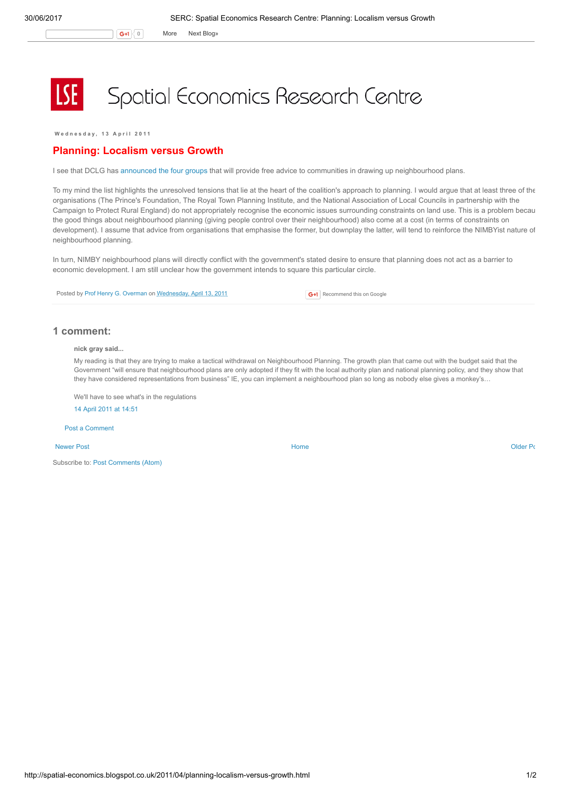G+1 0 More Next [Blog»](https://www.blogger.com/next-blog?navBar=true&blogID=974562301377041914)

## Spatial Economics Research Centre

Wednesday, 13 April 2011

## Planning: Localism versus Growth

I see that DCLG has [announced](http://www.communities.gov.uk/news/corporate/1886583) the four groups that will provide free advice to communities in drawing up neighbourhood plans.

To my mind the list highlights the unresolved tensions that lie at the heart of the coalition's approach to planning. I would argue that at least three of the organisations (The Prince's Foundation, The Royal Town Planning Institute, and the National Association of Local Councils in partnership with the Campaign to Protect Rural England) do not appropriately recognise the economic issues surrounding constraints on land use. This is a problem becau the good things about neighbourhood planning (giving people control over their neighbourhood) also come at a cost (in terms of constraints on development). I assume that advice from organisations that emphasise the former, but downplay the latter, will tend to reinforce the NIMBYist nature of neighbourhood planning.

In turn, NIMBY neighbourhood plans will directly conflict with the government's stated desire to ensure that planning does not act as a barrier to economic development. I am still unclear how the government intends to square this particular circle.

Posted by Prof Henry G. [Overman](https://www.blogger.com/profile/15203876610491317062) on [Wednesday,](http://spatial-economics.blogspot.co.uk/2011/04/planning-localism-versus-growth.html) April 13, 2011

**G+1** Recommend this on Google

## 1 comment:

nick gray said...

My reading is that they are trying to make a tactical withdrawal on Neighbourhood Planning. The growth plan that came out with the budget said that the Government "will ensure that neighbourhood plans are only adopted if they fit with the local authority plan and national planning policy, and they show that they have considered representations from business" IE, you can implement a neighbourhood plan so long as nobody else gives a monkey's…

We'll have to see what's in the regulations

14 April 2011 at [14:51](http://spatial-economics.blogspot.com/2011/04/planning-localism-versus-growth.html?showComment=1302789110127#c19627669230719507)

Post a [Comment](https://www.blogger.com/comment.g?blogID=974562301377041914&postID=641830545013833359)

[Newer](http://spatial-economics.blogspot.co.uk/2011/04/is-new-homes-bonus-working.html) Post **New Account Contract Account Contract Account Contract Account Contract Account Contract [Older](http://spatial-economics.blogspot.co.uk/2011/04/regional-growth-fund-round-1.html) Post** 

Subscribe to: Post [Comments](http://spatial-economics.blogspot.com/feeds/641830545013833359/comments/default) (Atom)